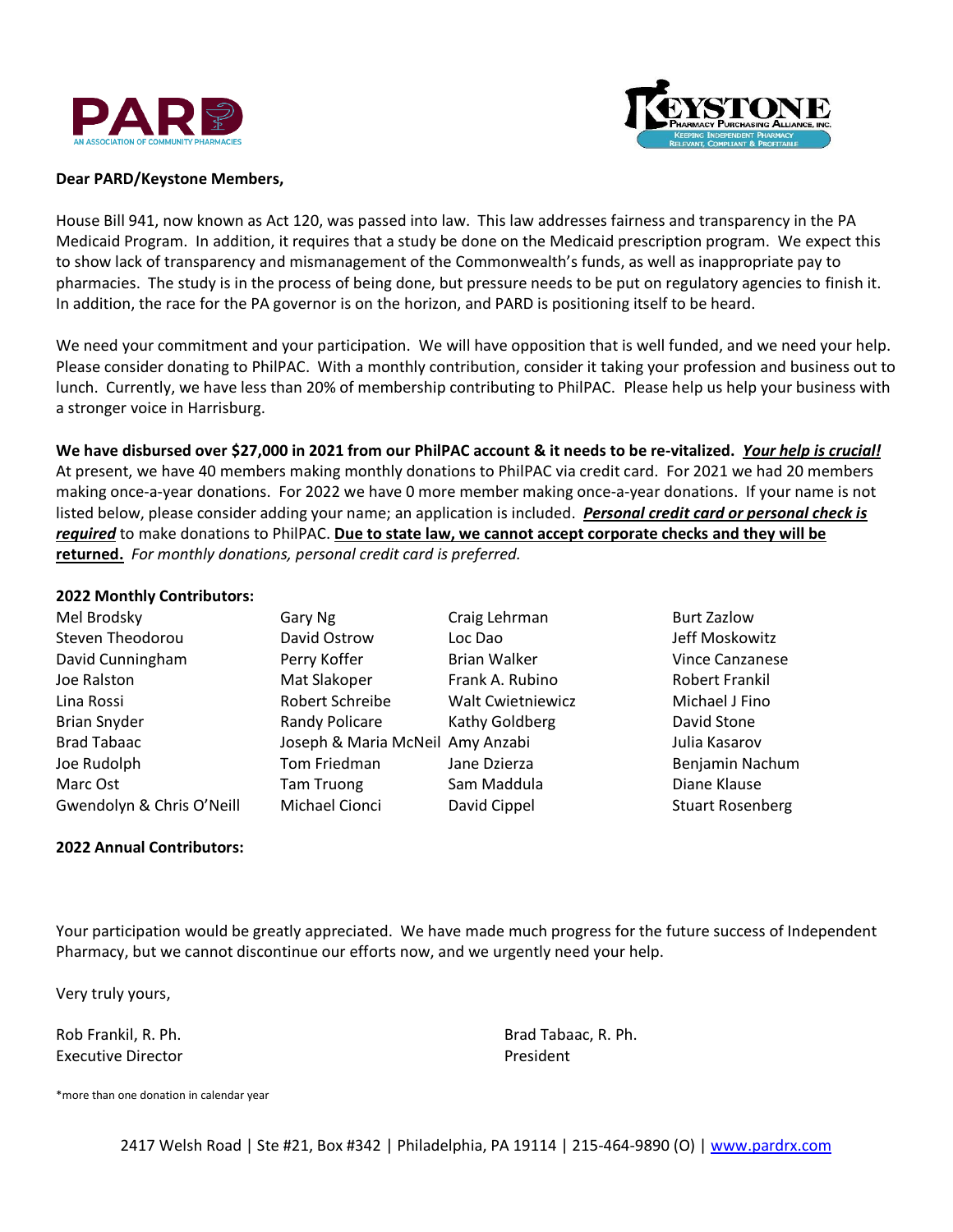



## **Dear PARD/Keystone Members,**

House Bill 941, now known as Act 120, was passed into law. This law addresses fairness and transparency in the PA Medicaid Program. In addition, it requires that a study be done on the Medicaid prescription program. We expect this to show lack of transparency and mismanagement of the Commonwealth's funds, as well as inappropriate pay to pharmacies. The study is in the process of being done, but pressure needs to be put on regulatory agencies to finish it. In addition, the race for the PA governor is on the horizon, and PARD is positioning itself to be heard.

We need your commitment and your participation. We will have opposition that is well funded, and we need your help. Please consider donating to PhilPAC. With a monthly contribution, consider it taking your profession and business out to lunch. Currently, we have less than 20% of membership contributing to PhilPAC. Please help us help your business with a stronger voice in Harrisburg.

**We have disbursed over \$27,000 in 2021 from our PhilPAC account & it needs to be re-vitalized.** *Your help is crucial!* At present, we have 40 members making monthly donations to PhilPAC via credit card. For 2021 we had 20 members making once-a-year donations. For 2022 we have 0 more member making once-a-year donations. If your name is not listed below, please consider adding your name; an application is included. *Personal credit card or personal check is required* to make donations to PhilPAC. **Due to state law, we cannot accept corporate checks and they will be returned.** *For monthly donations, personal credit card is preferred.*

## **2022 Monthly Contributors:**

| Mel Brodsky               | Gary Ng                          | Craig Lehrman            | <b>Burt Zazlow</b>      |
|---------------------------|----------------------------------|--------------------------|-------------------------|
| Steven Theodorou          | David Ostrow                     | Loc Dao                  | Jeff Moskowitz          |
| David Cunningham          | Perry Koffer                     | <b>Brian Walker</b>      | <b>Vince Canzanese</b>  |
| Joe Ralston               | Mat Slakoper                     | Frank A. Rubino          | Robert Frankil          |
| Lina Rossi                | Robert Schreibe                  | <b>Walt Cwietniewicz</b> | Michael J Fino          |
| <b>Brian Snyder</b>       | Randy Policare                   | Kathy Goldberg           | David Stone             |
| <b>Brad Tabaac</b>        | Joseph & Maria McNeil Amy Anzabi |                          | Julia Kasarov           |
| Joe Rudolph               | Tom Friedman                     | Jane Dzierza             | Benjamin Nachum         |
| Marc Ost                  | <b>Tam Truong</b>                | Sam Maddula              | Diane Klause            |
| Gwendolyn & Chris O'Neill | Michael Cionci                   | David Cippel             | <b>Stuart Rosenberg</b> |

## **2022 Annual Contributors:**

Your participation would be greatly appreciated. We have made much progress for the future success of Independent Pharmacy, but we cannot discontinue our efforts now, and we urgently need your help.

Very truly yours,

Executive Director **President President** 

Rob Frankil, R. Ph. Brad Tabaac, R. Ph.

\*more than one donation in calendar year